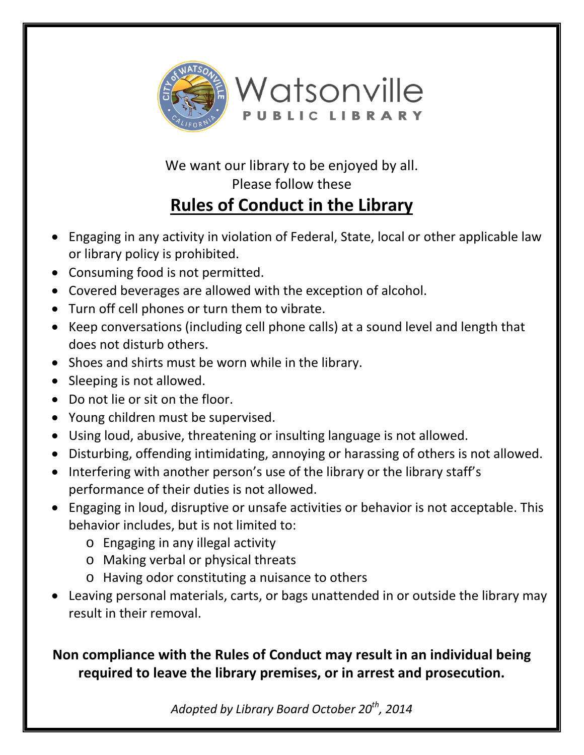

We want our library to be enjoyed by all. Please follow these

## **Rules of Conduct in the Library**

- Engaging in any activity in violation of Federal, State, local or other applicable law or library policy is prohibited.
- Consuming food is not permitted.
- Covered beverages are allowed with the exception of alcohol.
- Turn off cell phones or turn them to vibrate.
- Keep conversations (including cell phone calls) at a sound level and length that does not disturb others.
- Shoes and shirts must be worn while in the library.
- Sleeping is not allowed.
- Do not lie or sit on the floor.
- Young children must be supervised.
- Using loud, abusive, threatening or insulting language is not allowed.
- Disturbing, offending intimidating, annoying or harassing of others is not allowed.
- Interfering with another person's use of the library or the library staff's performance of their duties is not allowed.
- Engaging in loud, disruptive or unsafe activities or behavior is not acceptable. This behavior includes, but is not limited to:
	- o Engaging in any illegal activity
	- o Making verbal or physical threats
	- o Having odor constituting a nuisance to others
- Leaving personal materials, carts, or bags unattended in or outside the library may result in their removal.

**Non compliance with the Rules of Conduct may result in an individual being required to leave the library premises, or in arrest and prosecution.**

*Adopted by Library Board October 20th, 2014*